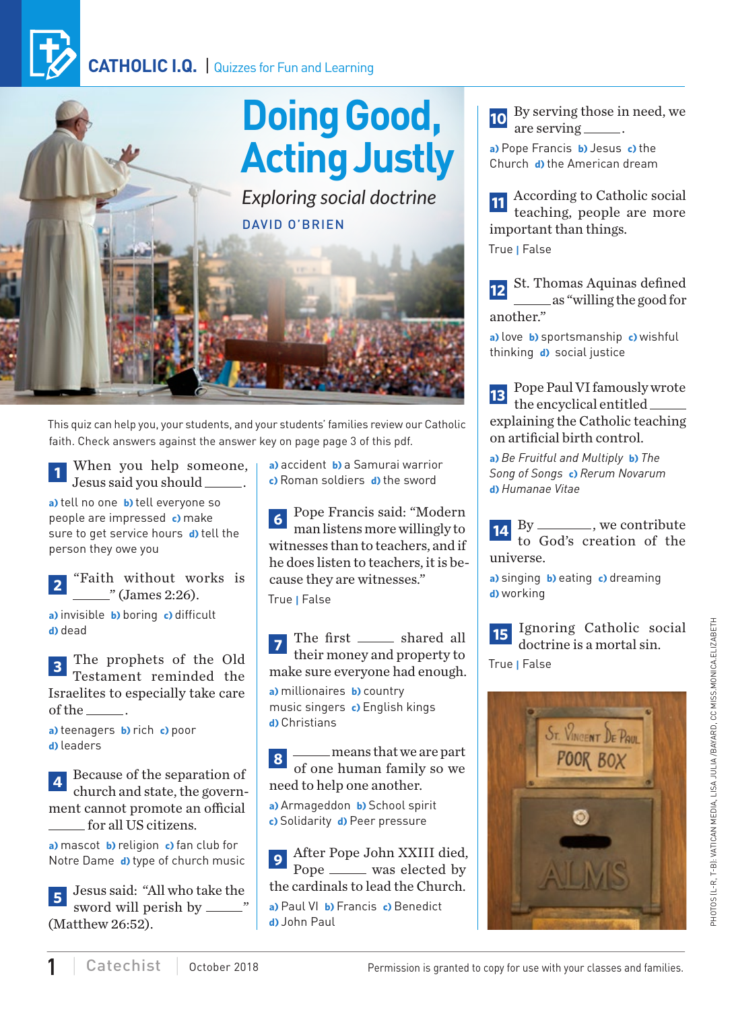## **CATHOLIC I.Q.** | Quizzes for Fun and Learning



This quiz can help you, your students, and your students' families review our Catholic faith. Check answers against the answer key on page page 3 of this pdf.

**<sup>1</sup>** When you help someone, Jesus said you should .

**a)** tell no one **b)** tell everyone so people are impressed **c)** make sure to get service hours **d)** tell the person they owe you

**<sup>2</sup>** "Faith without works is <sup>"</sup> (James 2:26).

**a)** invisible **b)** boring **c)** difficult **d)** dead

**<sup>3</sup>** The prophets of the Old Testament reminded the Israelites to especially take care of the  $\_\_\_\$ .

**a)** teenagers **b)** rich **c)** poor **d)** leaders

**<sup>4</sup>** Because of the separation of church and state, the government cannot promote an official for all US citizens.

**a)** mascot **b)** religion **c)** fan club for Notre Dame **d)** type of church music

**<sup>5</sup>** Jesus said: "All who take the sword will perish by  $\frac{1}{2}$ (Matthew 26:52).

**a)** accident **b)** a Samurai warrior **c)** Roman soldiers **d)** the sword

**<sup>6</sup>** Pope Francis said: "Modern man listens more willingly to witnesses than to teachers, and if he does listen to teachers, it is because they are witnesses." True **|** False

The first \_\_\_\_\_\_ shared all their money and property to make sure everyone had enough.

**a)** millionaires **b)** country music singers **c)** English kings **d)** Christians

8 means that we are part of one human family so we need to help one another.

**a)** Armageddon **b)** School spirit **c)** Solidarity **d)** Peer pressure

**<sup>9</sup>** After Pope John XXIII died, Pope <u>was elected</u> by the cardinals to lead the Church. **a)** Paul VI **b)** Francis **c)** Benedict **d)** John Paul

**<sup>10</sup>** By serving those in need, we are serving \_\_\_\_\_\_.

**a)** Pope Francis **b)** Jesus **c)** the Church **d)** the American dream

**<sup>11</sup>** According to Catholic social teaching, people are more important than things. True **|** False

**<sup>12</sup>** St. Thomas Aquinas defined as "willing the good for another."

**a)** love **b)** sportsmanship **c)** wishful thinking **d)** social justice

**<sup>13</sup>** Pope Paul VI famously wrote the encyclical entitled explaining the Catholic teaching on artificial birth control.

**a)** *Be Fruitful and Multiply* **b)** *The Song of Songs* **c)** *Rerum Novarum*  **d)** *Humanae Vitae*

**14** By \_\_\_\_\_\_\_, we contribute to God's creation of the universe.

**a)** singing **b)** eating **c)** dreaming **d)** working

**15** Ignoring Catholic social doctrine is a mortal sin.

True **|** False

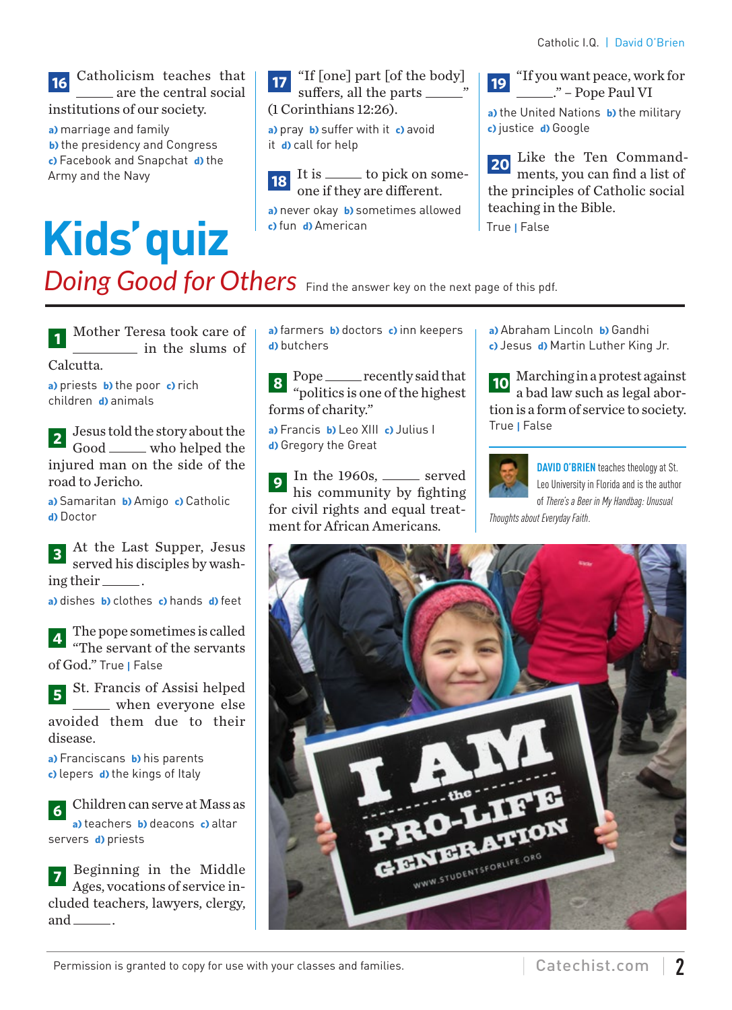#### **<sup>16</sup>** Catholicism teaches that are the central social institutions of our society.

- **a)** marriage and family **b)** the presidency and Congress
- **c)** Facebook and Snapchat **d)** the Army and the Navy

# **Kids' quiz**

**17** "If [one] part [of the body] suffers, all the parts \_\_\_\_\_\_\_" (1 Corinthians 12:26).

**a)** pray **b)** suffer with it **c)** avoid it **d)** call for help

**18** It is <u>the some</u>-to pick on someone if they are different.

**a)** never okay **b)** sometimes allowed **c)** fun **d)** American

**<sup>19</sup>** "If you want peace, work for ..." – Pope Paul VI **a)** the United Nations **b)** the military **c)** justice **d)** Google

**<sup>20</sup>** Like the Ten Commandments, you can find a list of the principles of Catholic social teaching in the Bible. True **|** False

**Doing Good for Others** Find the answer key on the next page of this pdf.

**<sup>1</sup>** Mother Teresa took care of in the slums of Calcutta.

**a)** priests **b)** the poor **c)** rich children **d)** animals

**<sup>2</sup>** Jesus told the story about the Good \_\_\_\_\_ who helped the injured man on the side of the road to Jericho.

**a)** Samaritan **b)** Amigo **c)** Catholic **d)** Doctor

**<sup>3</sup>** At the Last Supper, Jesus served his disciples by washing their \_\_\_\_\_\_.

**a)** dishes **b)** clothes **c)** hands **d)** feet

**<sup>4</sup>** The pope sometimes is called "The servant of the servants of God." True **|** False

**<sup>5</sup>** St. Francis of Assisi helped when everyone else avoided them due to their disease.

**a)** Franciscans **b)** his parents **c)** lepers **d)** the kings of Italy

**<sup>6</sup>** Children can serve at Mass as **a)** teachers **b)** deacons **c)** altar servers **d)** priests

**<sup>7</sup>** Beginning in the Middle Ages, vocations of service included teachers, lawyers, clergy, and  $\_\_\_\_\$ .

**a)** farmers **b)** doctors **c)** inn keepers **d)** butchers

Pope \_\_\_\_\_\_ recently said that "politics is one of the highest forms of charity."

**a)** Francis **b)** Leo XIII **c)** Julius I **d)** Gregory the Great

In the 1960s, \_\_\_\_\_ served his community by fighting for civil rights and equal treatment for African Americans.

**a)** Abraham Lincoln **b)** Gandhi **c)** Jesus **d)** Martin Luther King Jr.

**<sup>10</sup>** Marching in a protest against a bad law such as legal abortion is a form of service to society. True **|** False



**DAVID O'BRIEN** teaches theology at St. Leo University in Florida and is the author of *There's a Beer in My Handbag: Unusual* 

*Thoughts about Everyday Faith*.



Permission is granted to copy for use with your classes and families.